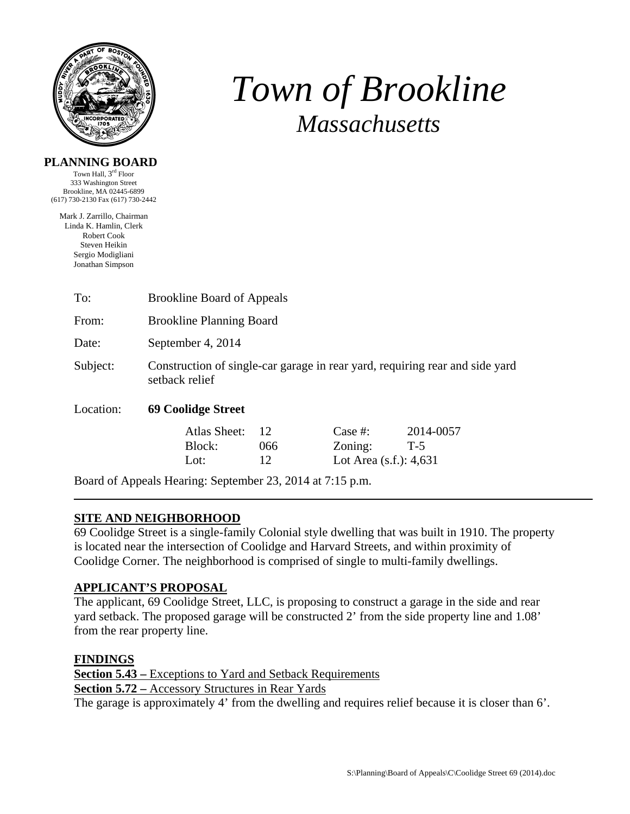

# *Town of Brookline Massachusetts*

## **PLANNING BOARD**

Town Hall, 3rd Floor 333 Washington Street Brookline, MA 02445-6899 (617) 730-2130 Fax (617) 730-2442

Mark J. Zarrillo, Chairman Linda K. Hamlin, Clerk Robert Cook Steven Heikin Sergio Modigliani Jonathan Simpson

| To:                                                       | <b>Brookline Board of Appeals</b>                                                              |                 |                                                 |                    |  |  |  |
|-----------------------------------------------------------|------------------------------------------------------------------------------------------------|-----------------|-------------------------------------------------|--------------------|--|--|--|
| From:                                                     | <b>Brookline Planning Board</b>                                                                |                 |                                                 |                    |  |  |  |
| Date:                                                     | September 4, 2014                                                                              |                 |                                                 |                    |  |  |  |
| Subject:                                                  | Construction of single-car garage in rear yard, requiring rear and side yard<br>setback relief |                 |                                                 |                    |  |  |  |
| Location:                                                 | 69 Coolidge Street                                                                             |                 |                                                 |                    |  |  |  |
|                                                           | Atlas Sheet:<br>Block:<br>Lot:                                                                 | 12<br>066<br>12 | Case #:<br>Zoning:<br>Lot Area $(s.f.)$ : 4,631 | 2014-0057<br>$T-5$ |  |  |  |
| Board of Appeals Hearing: September 23, 2014 at 7:15 p.m. |                                                                                                |                 |                                                 |                    |  |  |  |

## **SITE AND NEIGHBORHOOD**

69 Coolidge Street is a single-family Colonial style dwelling that was built in 1910. The property is located near the intersection of Coolidge and Harvard Streets, and within proximity of Coolidge Corner. The neighborhood is comprised of single to multi-family dwellings.

# **APPLICANT'S PROPOSAL**

The applicant, 69 Coolidge Street, LLC, is proposing to construct a garage in the side and rear yard setback. The proposed garage will be constructed 2' from the side property line and 1.08' from the rear property line.

## **FINDINGS**

**Section 5.43 –** Exceptions to Yard and Setback Requirements **Section 5.72 –** Accessory Structures in Rear Yards The garage is approximately 4' from the dwelling and requires relief because it is closer than 6'.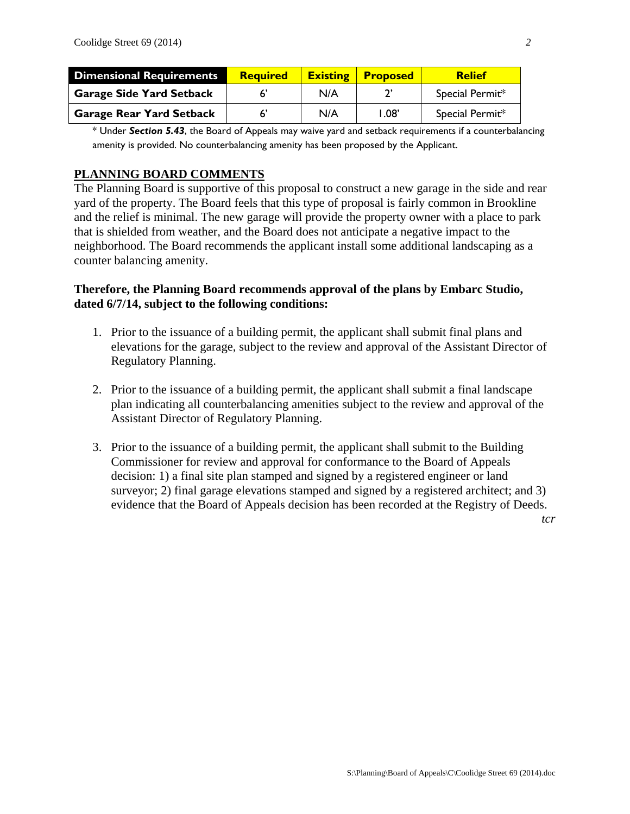| <b>Dimensional Requirements</b> | <b>Required</b> |     | <b>Existing Proposed</b> | <b>Relief</b>   |
|---------------------------------|-----------------|-----|--------------------------|-----------------|
| <b>Garage Side Yard Setback</b> |                 | N/A |                          | Special Permit* |
| <b>Garage Rear Yard Setback</b> |                 | N/A | $1.08^{\circ}$           | Special Permit* |

\* Under *Section 5.43*, the Board of Appeals may waive yard and setback requirements if a counterbalancing amenity is provided. No counterbalancing amenity has been proposed by the Applicant.

## **PLANNING BOARD COMMENTS**

The Planning Board is supportive of this proposal to construct a new garage in the side and rear yard of the property. The Board feels that this type of proposal is fairly common in Brookline and the relief is minimal. The new garage will provide the property owner with a place to park that is shielded from weather, and the Board does not anticipate a negative impact to the neighborhood. The Board recommends the applicant install some additional landscaping as a counter balancing amenity.

#### **Therefore, the Planning Board recommends approval of the plans by Embarc Studio, dated 6/7/14, subject to the following conditions:**

- 1. Prior to the issuance of a building permit, the applicant shall submit final plans and elevations for the garage, subject to the review and approval of the Assistant Director of Regulatory Planning.
- 2. Prior to the issuance of a building permit, the applicant shall submit a final landscape plan indicating all counterbalancing amenities subject to the review and approval of the Assistant Director of Regulatory Planning.
- 3. Prior to the issuance of a building permit, the applicant shall submit to the Building Commissioner for review and approval for conformance to the Board of Appeals decision: 1) a final site plan stamped and signed by a registered engineer or land surveyor; 2) final garage elevations stamped and signed by a registered architect; and 3) evidence that the Board of Appeals decision has been recorded at the Registry of Deeds.